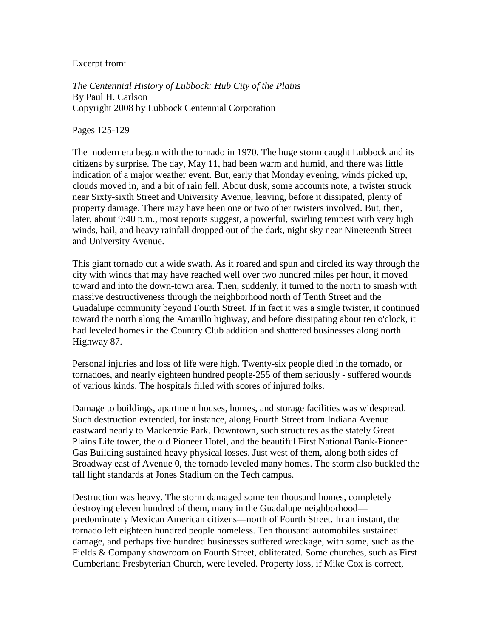Excerpt from:

*The Centennial History of Lubbock: Hub City of the Plains* By Paul H. Carlson Copyright 2008 by Lubbock Centennial Corporation

Pages 125-129

The modern era began with the tornado in 1970. The huge storm caught Lubbock and its citizens by surprise. The day, May 11, had been warm and humid, and there was little indication of a major weather event. But, early that Monday evening, winds picked up, clouds moved in, and a bit of rain fell. About dusk, some accounts note, a twister struck near Sixty-sixth Street and University Avenue, leaving, before it dissipated, plenty of property damage. There may have been one or two other twisters involved. But, then, later, about 9:40 p.m., most reports suggest, a powerful, swirling tempest with very high winds, hail, and heavy rainfall dropped out of the dark, night sky near Nineteenth Street and University Avenue.

This giant tornado cut a wide swath. As it roared and spun and circled its way through the city with winds that may have reached well over two hundred miles per hour, it moved toward and into the down-town area. Then, suddenly, it turned to the north to smash with massive destructiveness through the neighborhood north of Tenth Street and the Guadalupe community beyond Fourth Street. If in fact it was a single twister, it continued toward the north along the Amarillo highway, and before dissipating about ten o'clock, it had leveled homes in the Country Club addition and shattered businesses along north Highway 87.

Personal injuries and loss of life were high. Twenty-six people died in the tornado, or tornadoes, and nearly eighteen hundred people-255 of them seriously - suffered wounds of various kinds. The hospitals filled with scores of injured folks.

Damage to buildings, apartment houses, homes, and storage facilities was widespread. Such destruction extended, for instance, along Fourth Street from Indiana Avenue eastward nearly to Mackenzie Park. Downtown, such structures as the stately Great Plains Life tower, the old Pioneer Hotel, and the beautiful First National Bank-Pioneer Gas Building sustained heavy physical losses. Just west of them, along both sides of Broadway east of Avenue 0, the tornado leveled many homes. The storm also buckled the tall light standards at Jones Stadium on the Tech campus.

Destruction was heavy. The storm damaged some ten thousand homes, completely destroying eleven hundred of them, many in the Guadalupe neighborhood predominately Mexican American citizens—north of Fourth Street. In an instant, the tornado left eighteen hundred people homeless. Ten thousand automobiles sustained damage, and perhaps five hundred businesses suffered wreckage, with some, such as the Fields & Company showroom on Fourth Street, obliterated. Some churches, such as First Cumberland Presbyterian Church, were leveled. Property loss, if Mike Cox is correct,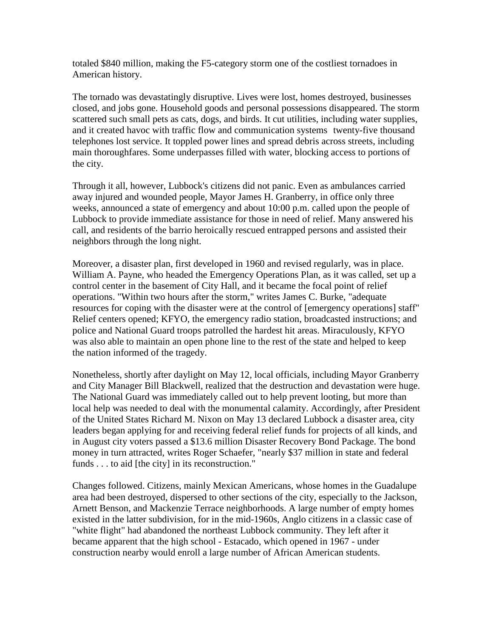totaled \$840 million, making the F5-category storm one of the costliest tornadoes in American history.

The tornado was devastatingly disruptive. Lives were lost, homes destroyed, businesses closed, and jobs gone. Household goods and personal possessions disappeared. The storm scattered such small pets as cats, dogs, and birds. It cut utilities, including water supplies, and it created havoc with traffic flow and communication systems twenty-five thousand telephones lost service. It toppled power lines and spread debris across streets, including main thoroughfares. Some underpasses filled with water, blocking access to portions of the city.

Through it all, however, Lubbock's citizens did not panic. Even as ambulances carried away injured and wounded people, Mayor James H. Granberry, in office only three weeks, announced a state of emergency and about 10:00 p.m. called upon the people of Lubbock to provide immediate assistance for those in need of relief. Many answered his call, and residents of the barrio heroically rescued entrapped persons and assisted their neighbors through the long night.

Moreover, a disaster plan, first developed in 1960 and revised regularly, was in place. William A. Payne, who headed the Emergency Operations Plan, as it was called, set up a control center in the basement of City Hall, and it became the focal point of relief operations. "Within two hours after the storm," writes James C. Burke, "adequate resources for coping with the disaster were at the control of [emergency operations] staff" Relief centers opened; KFYO, the emergency radio station, broadcasted instructions; and police and National Guard troops patrolled the hardest hit areas. Miraculously, KFYO was also able to maintain an open phone line to the rest of the state and helped to keep the nation informed of the tragedy.

Nonetheless, shortly after daylight on May 12, local officials, including Mayor Granberry and City Manager Bill Blackwell, realized that the destruction and devastation were huge. The National Guard was immediately called out to help prevent looting, but more than local help was needed to deal with the monumental calamity. Accordingly, after President of the United States Richard M. Nixon on May 13 declared Lubbock a disaster area, city leaders began applying for and receiving federal relief funds for projects of all kinds, and in August city voters passed a \$13.6 million Disaster Recovery Bond Package. The bond money in turn attracted, writes Roger Schaefer, "nearly \$37 million in state and federal funds . . . to aid [the city] in its reconstruction."

Changes followed. Citizens, mainly Mexican Americans, whose homes in the Guadalupe area had been destroyed, dispersed to other sections of the city, especially to the Jackson, Arnett Benson, and Mackenzie Terrace neighborhoods. A large number of empty homes existed in the latter subdivision, for in the mid-1960s, Anglo citizens in a classic case of "white flight" had abandoned the northeast Lubbock community. They left after it became apparent that the high school - Estacado, which opened in 1967 - under construction nearby would enroll a large number of African American students.